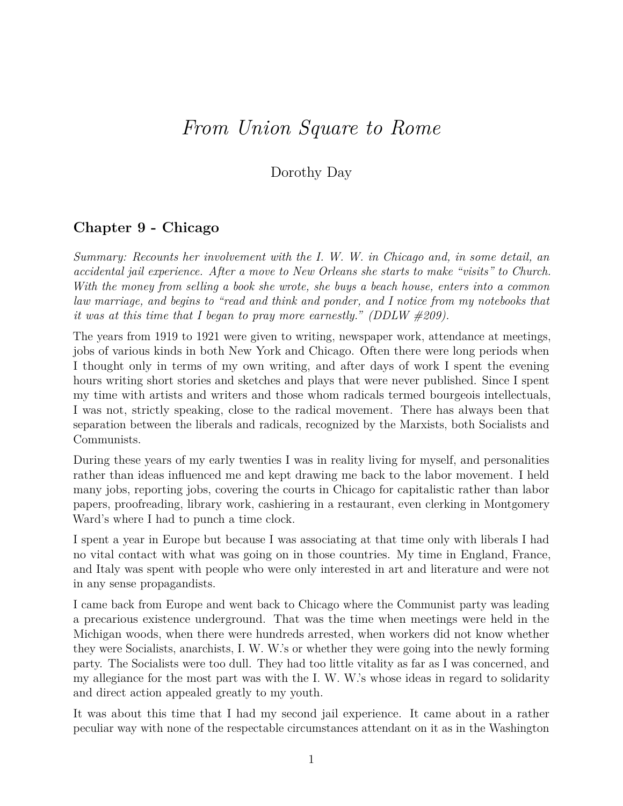## *From Union Square to Rome*

## Dorothy Day

## **Chapter 9 - Chicago**

*Summary: Recounts her involvement with the I. W. W. in Chicago and, in some detail, an accidental jail experience. After a move to New Orleans she starts to make "visits" to Church. With the money from selling a book she wrote, she buys a beach house, enters into a common law marriage, and begins to "read and think and ponder, and I notice from my notebooks that it was at this time that I began to pray more earnestly." (DDLW #209).*

The years from 1919 to 1921 were given to writing, newspaper work, attendance at meetings, jobs of various kinds in both New York and Chicago. Often there were long periods when I thought only in terms of my own writing, and after days of work I spent the evening hours writing short stories and sketches and plays that were never published. Since I spent my time with artists and writers and those whom radicals termed bourgeois intellectuals, I was not, strictly speaking, close to the radical movement. There has always been that separation between the liberals and radicals, recognized by the Marxists, both Socialists and Communists.

During these years of my early twenties I was in reality living for myself, and personalities rather than ideas influenced me and kept drawing me back to the labor movement. I held many jobs, reporting jobs, covering the courts in Chicago for capitalistic rather than labor papers, proofreading, library work, cashiering in a restaurant, even clerking in Montgomery Ward's where I had to punch a time clock.

I spent a year in Europe but because I was associating at that time only with liberals I had no vital contact with what was going on in those countries. My time in England, France, and Italy was spent with people who were only interested in art and literature and were not in any sense propagandists.

I came back from Europe and went back to Chicago where the Communist party was leading a precarious existence underground. That was the time when meetings were held in the Michigan woods, when there were hundreds arrested, when workers did not know whether they were Socialists, anarchists, I. W. W.'s or whether they were going into the newly forming party. The Socialists were too dull. They had too little vitality as far as I was concerned, and my allegiance for the most part was with the I. W. W.'s whose ideas in regard to solidarity and direct action appealed greatly to my youth.

It was about this time that I had my second jail experience. It came about in a rather peculiar way with none of the respectable circumstances attendant on it as in the Washington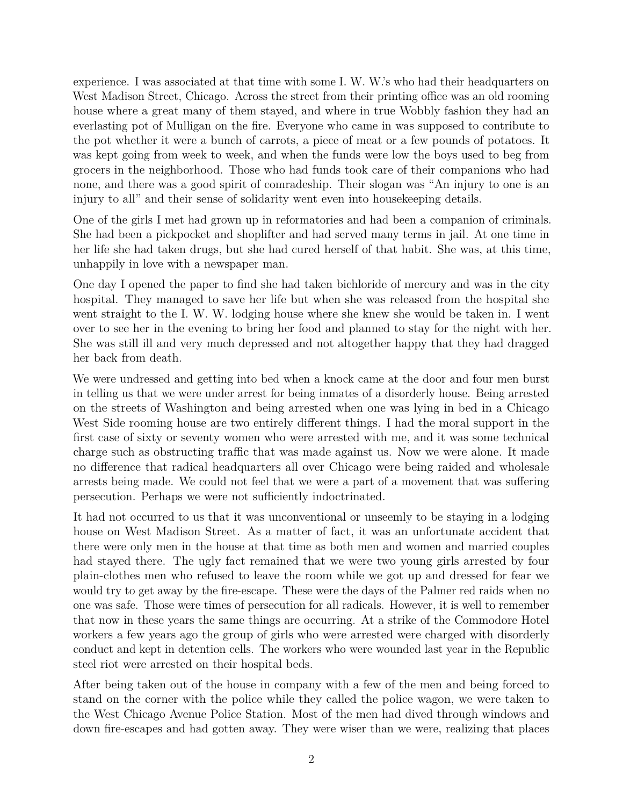experience. I was associated at that time with some I. W. W.'s who had their headquarters on West Madison Street, Chicago. Across the street from their printing office was an old rooming house where a great many of them stayed, and where in true Wobbly fashion they had an everlasting pot of Mulligan on the fire. Everyone who came in was supposed to contribute to the pot whether it were a bunch of carrots, a piece of meat or a few pounds of potatoes. It was kept going from week to week, and when the funds were low the boys used to beg from grocers in the neighborhood. Those who had funds took care of their companions who had none, and there was a good spirit of comradeship. Their slogan was "An injury to one is an injury to all" and their sense of solidarity went even into housekeeping details.

One of the girls I met had grown up in reformatories and had been a companion of criminals. She had been a pickpocket and shoplifter and had served many terms in jail. At one time in her life she had taken drugs, but she had cured herself of that habit. She was, at this time, unhappily in love with a newspaper man.

One day I opened the paper to find she had taken bichloride of mercury and was in the city hospital. They managed to save her life but when she was released from the hospital she went straight to the I. W. W. lodging house where she knew she would be taken in. I went over to see her in the evening to bring her food and planned to stay for the night with her. She was still ill and very much depressed and not altogether happy that they had dragged her back from death.

We were undressed and getting into bed when a knock came at the door and four men burst in telling us that we were under arrest for being inmates of a disorderly house. Being arrested on the streets of Washington and being arrested when one was lying in bed in a Chicago West Side rooming house are two entirely different things. I had the moral support in the first case of sixty or seventy women who were arrested with me, and it was some technical charge such as obstructing traffic that was made against us. Now we were alone. It made no difference that radical headquarters all over Chicago were being raided and wholesale arrests being made. We could not feel that we were a part of a movement that was suffering persecution. Perhaps we were not sufficiently indoctrinated.

It had not occurred to us that it was unconventional or unseemly to be staying in a lodging house on West Madison Street. As a matter of fact, it was an unfortunate accident that there were only men in the house at that time as both men and women and married couples had stayed there. The ugly fact remained that we were two young girls arrested by four plain-clothes men who refused to leave the room while we got up and dressed for fear we would try to get away by the fire-escape. These were the days of the Palmer red raids when no one was safe. Those were times of persecution for all radicals. However, it is well to remember that now in these years the same things are occurring. At a strike of the Commodore Hotel workers a few years ago the group of girls who were arrested were charged with disorderly conduct and kept in detention cells. The workers who were wounded last year in the Republic steel riot were arrested on their hospital beds.

After being taken out of the house in company with a few of the men and being forced to stand on the corner with the police while they called the police wagon, we were taken to the West Chicago Avenue Police Station. Most of the men had dived through windows and down fire-escapes and had gotten away. They were wiser than we were, realizing that places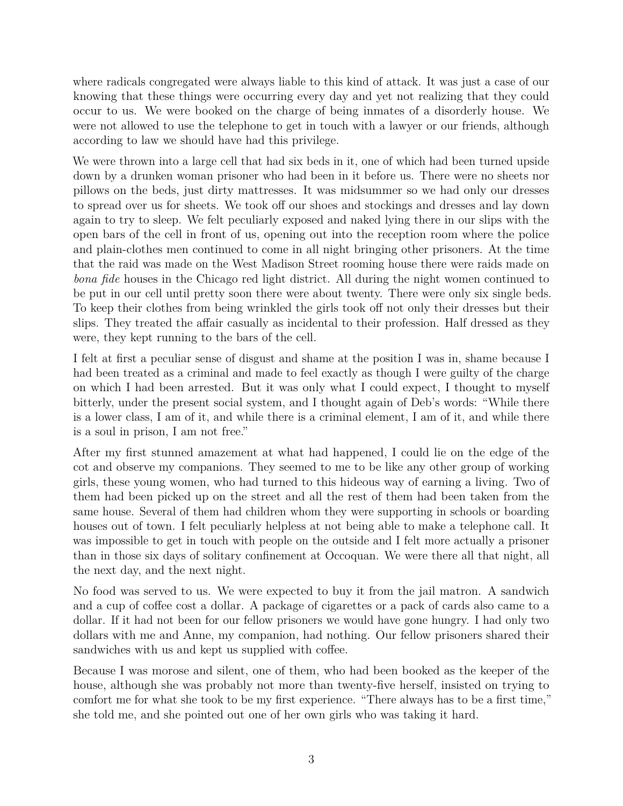where radicals congregated were always liable to this kind of attack. It was just a case of our knowing that these things were occurring every day and yet not realizing that they could occur to us. We were booked on the charge of being inmates of a disorderly house. We were not allowed to use the telephone to get in touch with a lawyer or our friends, although according to law we should have had this privilege.

We were thrown into a large cell that had six beds in it, one of which had been turned upside down by a drunken woman prisoner who had been in it before us. There were no sheets nor pillows on the beds, just dirty mattresses. It was midsummer so we had only our dresses to spread over us for sheets. We took off our shoes and stockings and dresses and lay down again to try to sleep. We felt peculiarly exposed and naked lying there in our slips with the open bars of the cell in front of us, opening out into the reception room where the police and plain-clothes men continued to come in all night bringing other prisoners. At the time that the raid was made on the West Madison Street rooming house there were raids made on *bona fide* houses in the Chicago red light district. All during the night women continued to be put in our cell until pretty soon there were about twenty. There were only six single beds. To keep their clothes from being wrinkled the girls took off not only their dresses but their slips. They treated the affair casually as incidental to their profession. Half dressed as they were, they kept running to the bars of the cell.

I felt at first a peculiar sense of disgust and shame at the position I was in, shame because I had been treated as a criminal and made to feel exactly as though I were guilty of the charge on which I had been arrested. But it was only what I could expect, I thought to myself bitterly, under the present social system, and I thought again of Deb's words: "While there is a lower class, I am of it, and while there is a criminal element, I am of it, and while there is a soul in prison, I am not free."

After my first stunned amazement at what had happened, I could lie on the edge of the cot and observe my companions. They seemed to me to be like any other group of working girls, these young women, who had turned to this hideous way of earning a living. Two of them had been picked up on the street and all the rest of them had been taken from the same house. Several of them had children whom they were supporting in schools or boarding houses out of town. I felt peculiarly helpless at not being able to make a telephone call. It was impossible to get in touch with people on the outside and I felt more actually a prisoner than in those six days of solitary confinement at Occoquan. We were there all that night, all the next day, and the next night.

No food was served to us. We were expected to buy it from the jail matron. A sandwich and a cup of coffee cost a dollar. A package of cigarettes or a pack of cards also came to a dollar. If it had not been for our fellow prisoners we would have gone hungry. I had only two dollars with me and Anne, my companion, had nothing. Our fellow prisoners shared their sandwiches with us and kept us supplied with coffee.

Because I was morose and silent, one of them, who had been booked as the keeper of the house, although she was probably not more than twenty-five herself, insisted on trying to comfort me for what she took to be my first experience. "There always has to be a first time," she told me, and she pointed out one of her own girls who was taking it hard.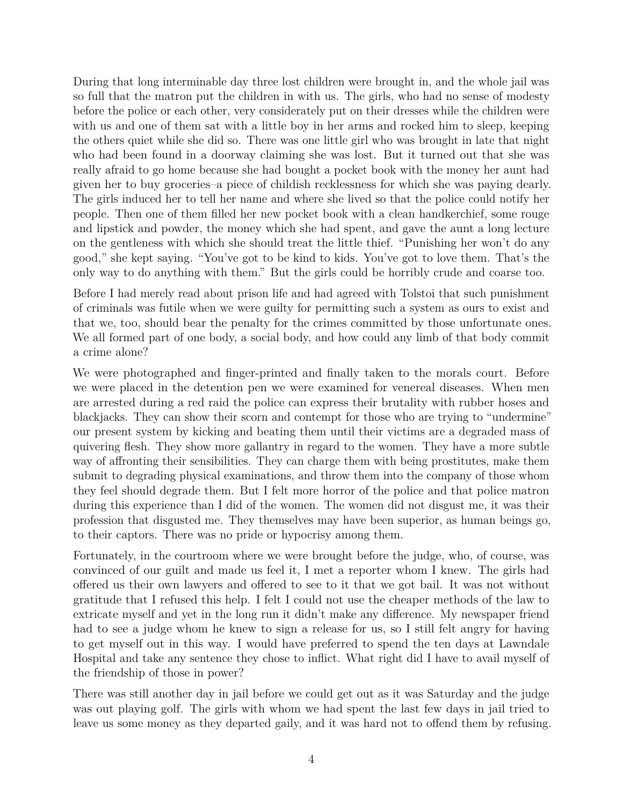During that long interminable day three lost children were brought in, and the whole jail was so full that the matron put the children in with us. The girls, who had no sense of modesty before the police or each other, very considerately put on their dresses while the children were with us and one of them sat with a little boy in her arms and rocked him to sleep, keeping the others quiet while she did so. There was one little girl who was brought in late that night who had been found in a doorway claiming she was lost. But it turned out that she was really afraid to go home because she had bought a pocket book with the money her aunt had given her to buy groceries–a piece of childish recklessness for which she was paying dearly. The girls induced her to tell her name and where she lived so that the police could notify her people. Then one of them filled her new pocket book with a clean handkerchief, some rouge and lipstick and powder, the money which she had spent, and gave the aunt a long lecture on the gentleness with which she should treat the little thief. "Punishing her won't do any good," she kept saying. "You've got to be kind to kids. You've got to love them. That's the only way to do anything with them." But the girls could be horribly crude and coarse too.

Before I had merely read about prison life and had agreed with Tolstoi that such punishment of criminals was futile when we were guilty for permitting such a system as ours to exist and that we, too, should bear the penalty for the crimes committed by those unfortunate ones. We all formed part of one body, a social body, and how could any limb of that body commit a crime alone?

We were photographed and finger-printed and finally taken to the morals court. Before we were placed in the detention pen we were examined for venereal diseases. When men are arrested during a red raid the police can express their brutality with rubber hoses and blackjacks. They can show their scorn and contempt for those who are trying to "undermine" our present system by kicking and beating them until their victims are a degraded mass of quivering flesh. They show more gallantry in regard to the women. They have a more subtle way of affronting their sensibilities. They can charge them with being prostitutes, make them submit to degrading physical examinations, and throw them into the company of those whom they feel should degrade them. But I felt more horror of the police and that police matron during this experience than I did of the women. The women did not disgust me, it was their profession that disgusted me. They themselves may have been superior, as human beings go, to their captors. There was no pride or hypocrisy among them.

Fortunately, in the courtroom where we were brought before the judge, who, of course, was convinced of our guilt and made us feel it, I met a reporter whom I knew. The girls had offered us their own lawyers and offered to see to it that we got bail. It was not without gratitude that I refused this help. I felt I could not use the cheaper methods of the law to extricate myself and yet in the long run it didn't make any difference. My newspaper friend had to see a judge whom he knew to sign a release for us, so I still felt angry for having to get myself out in this way. I would have preferred to spend the ten days at Lawndale Hospital and take any sentence they chose to inflict. What right did I have to avail myself of the friendship of those in power?

There was still another day in jail before we could get out as it was Saturday and the judge was out playing golf. The girls with whom we had spent the last few days in jail tried to leave us some money as they departed gaily, and it was hard not to offend them by refusing.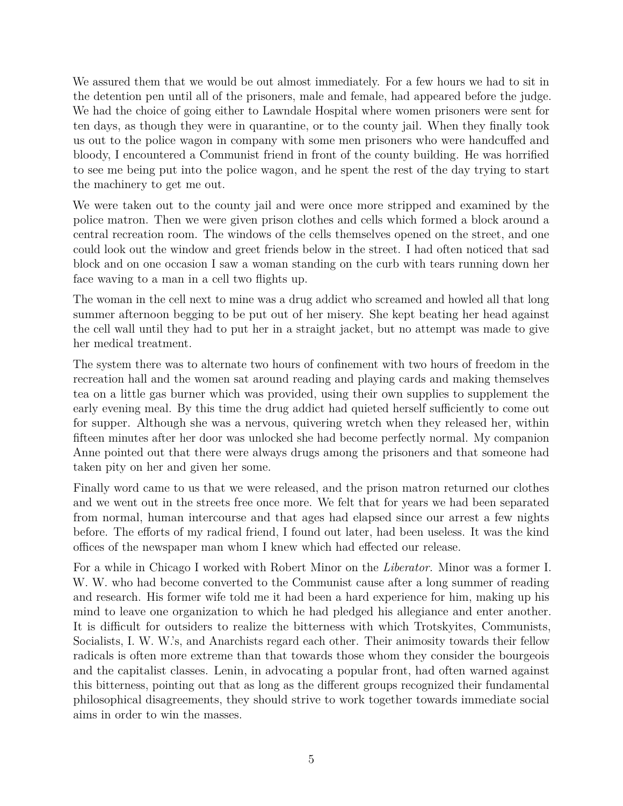We assured them that we would be out almost immediately. For a few hours we had to sit in the detention pen until all of the prisoners, male and female, had appeared before the judge. We had the choice of going either to Lawndale Hospital where women prisoners were sent for ten days, as though they were in quarantine, or to the county jail. When they finally took us out to the police wagon in company with some men prisoners who were handcuffed and bloody, I encountered a Communist friend in front of the county building. He was horrified to see me being put into the police wagon, and he spent the rest of the day trying to start the machinery to get me out.

We were taken out to the county jail and were once more stripped and examined by the police matron. Then we were given prison clothes and cells which formed a block around a central recreation room. The windows of the cells themselves opened on the street, and one could look out the window and greet friends below in the street. I had often noticed that sad block and on one occasion I saw a woman standing on the curb with tears running down her face waving to a man in a cell two flights up.

The woman in the cell next to mine was a drug addict who screamed and howled all that long summer afternoon begging to be put out of her misery. She kept beating her head against the cell wall until they had to put her in a straight jacket, but no attempt was made to give her medical treatment.

The system there was to alternate two hours of confinement with two hours of freedom in the recreation hall and the women sat around reading and playing cards and making themselves tea on a little gas burner which was provided, using their own supplies to supplement the early evening meal. By this time the drug addict had quieted herself sufficiently to come out for supper. Although she was a nervous, quivering wretch when they released her, within fifteen minutes after her door was unlocked she had become perfectly normal. My companion Anne pointed out that there were always drugs among the prisoners and that someone had taken pity on her and given her some.

Finally word came to us that we were released, and the prison matron returned our clothes and we went out in the streets free once more. We felt that for years we had been separated from normal, human intercourse and that ages had elapsed since our arrest a few nights before. The efforts of my radical friend, I found out later, had been useless. It was the kind offices of the newspaper man whom I knew which had effected our release.

For a while in Chicago I worked with Robert Minor on the *Liberator.* Minor was a former I. W. W. who had become converted to the Communist cause after a long summer of reading and research. His former wife told me it had been a hard experience for him, making up his mind to leave one organization to which he had pledged his allegiance and enter another. It is difficult for outsiders to realize the bitterness with which Trotskyites, Communists, Socialists, I. W. W.'s, and Anarchists regard each other. Their animosity towards their fellow radicals is often more extreme than that towards those whom they consider the bourgeois and the capitalist classes. Lenin, in advocating a popular front, had often warned against this bitterness, pointing out that as long as the different groups recognized their fundamental philosophical disagreements, they should strive to work together towards immediate social aims in order to win the masses.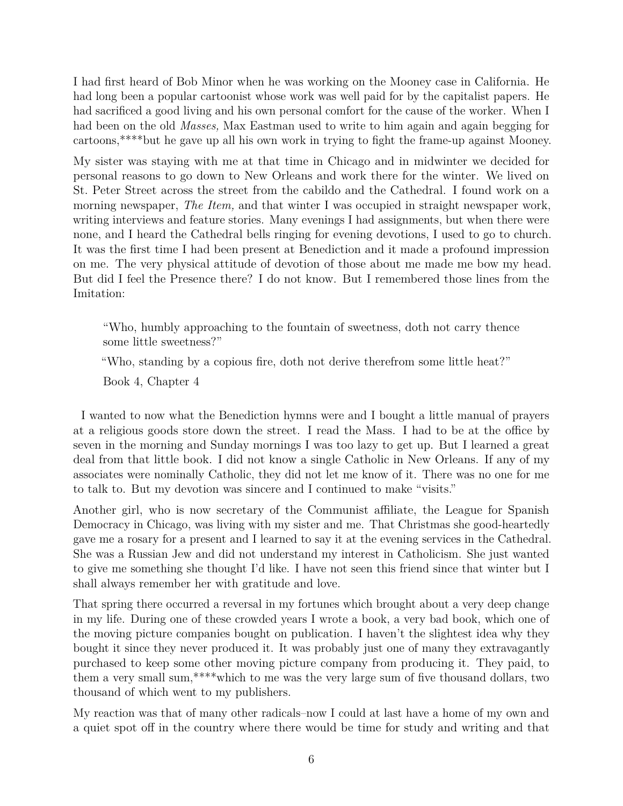I had first heard of Bob Minor when he was working on the Mooney case in California. He had long been a popular cartoonist whose work was well paid for by the capitalist papers. He had sacrificed a good living and his own personal comfort for the cause of the worker. When I had been on the old *Masses,* Max Eastman used to write to him again and again begging for cartoons,\*\*\*\*but he gave up all his own work in trying to fight the frame-up against Mooney.

My sister was staying with me at that time in Chicago and in midwinter we decided for personal reasons to go down to New Orleans and work there for the winter. We lived on St. Peter Street across the street from the cabildo and the Cathedral. I found work on a morning newspaper, *The Item,* and that winter I was occupied in straight newspaper work, writing interviews and feature stories. Many evenings I had assignments, but when there were none, and I heard the Cathedral bells ringing for evening devotions, I used to go to church. It was the first time I had been present at Benediction and it made a profound impression on me. The very physical attitude of devotion of those about me made me bow my head. But did I feel the Presence there? I do not know. But I remembered those lines from the Imitation:

"Who, humbly approaching to the fountain of sweetness, doth not carry thence some little sweetness?"

"Who, standing by a copious fire, doth not derive therefrom some little heat?"

Book 4, Chapter 4

I wanted to now what the Benediction hymns were and I bought a little manual of prayers at a religious goods store down the street. I read the Mass. I had to be at the office by seven in the morning and Sunday mornings I was too lazy to get up. But I learned a great deal from that little book. I did not know a single Catholic in New Orleans. If any of my associates were nominally Catholic, they did not let me know of it. There was no one for me to talk to. But my devotion was sincere and I continued to make "visits."

Another girl, who is now secretary of the Communist affiliate, the League for Spanish Democracy in Chicago, was living with my sister and me. That Christmas she good-heartedly gave me a rosary for a present and I learned to say it at the evening services in the Cathedral. She was a Russian Jew and did not understand my interest in Catholicism. She just wanted to give me something she thought I'd like. I have not seen this friend since that winter but I shall always remember her with gratitude and love.

That spring there occurred a reversal in my fortunes which brought about a very deep change in my life. During one of these crowded years I wrote a book, a very bad book, which one of the moving picture companies bought on publication. I haven't the slightest idea why they bought it since they never produced it. It was probably just one of many they extravagantly purchased to keep some other moving picture company from producing it. They paid, to them a very small sum,\*\*\*\*which to me was the very large sum of five thousand dollars, two thousand of which went to my publishers.

My reaction was that of many other radicals–now I could at last have a home of my own and a quiet spot off in the country where there would be time for study and writing and that